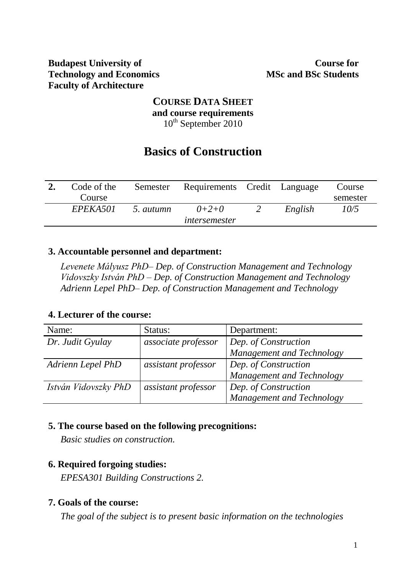#### **Budapest University of Technology and Economics Faculty of Architecture**

### **COURSE DATA SHEET and course requirements** 10<sup>th</sup> September 2010

# **Basics of Construction**

| Code of the | Semester  | Requirements Credit Language |         | Course   |
|-------------|-----------|------------------------------|---------|----------|
| Course      |           |                              |         | semester |
| EPEKA501    | 5. autumn | $0+2+0$                      | English | 10/5     |
|             |           | <i>intersemester</i>         |         |          |

### **3. Accountable personnel and department:**

*Levenete Mályusz PhD– Dep. of Construction Management and Technology Vidovszky István PhD – Dep. of Construction Management and Technology Adrienn Lepel PhD– Dep. of Construction Management and Technology*

#### **4. Lecturer of the course:**

| Name:                | Status:             | Department:               |
|----------------------|---------------------|---------------------------|
| Dr. Judit Gyulay     | associate professor | Dep. of Construction      |
|                      |                     | Management and Technology |
| Adrienn Lepel PhD    | assistant professor | Dep. of Construction      |
|                      |                     | Management and Technology |
| István Vidovszky PhD | assistant professor | Dep. of Construction      |
|                      |                     | Management and Technology |

## **5. The course based on the following precognitions:**

*Basic studies on construction.*

## **6. Required forgoing studies:**

*EPESA301 Building Constructions 2.*

## **7. Goals of the course:**

*The goal of the subject is to present basic information on the technologies*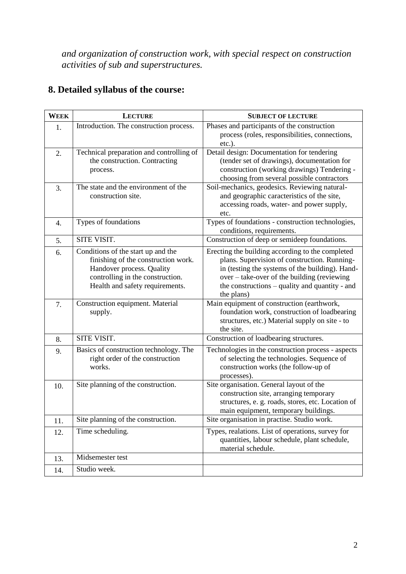*and organization of construction work, with special respect on construction activities of sub and superstructures.*

|  | 8. Detailed syllabus of the course: |  |  |  |
|--|-------------------------------------|--|--|--|
|--|-------------------------------------|--|--|--|

| <b>WEEK</b> | <b>LECTURE</b>                                                                                                                                                                | <b>SUBJECT OF LECTURE</b>                                                                                                                                                                                                                                          |
|-------------|-------------------------------------------------------------------------------------------------------------------------------------------------------------------------------|--------------------------------------------------------------------------------------------------------------------------------------------------------------------------------------------------------------------------------------------------------------------|
| 1.          | Introduction. The construction process.                                                                                                                                       | Phases and participants of the construction<br>process (roles, responsibilities, connections,<br>$etc.$ ).                                                                                                                                                         |
| 2.          | Technical preparation and controlling of<br>the construction. Contracting<br>process.                                                                                         | Detail design: Documentation for tendering<br>(tender set of drawings), documentation for<br>construction (working drawings) Tendering -<br>choosing from several possible contractors                                                                             |
| 3.          | The state and the environment of the<br>construction site.                                                                                                                    | Soil-mechanics, geodesics. Reviewing natural-<br>and geographic caracteristics of the site,<br>accessing roads, water- and power supply,<br>etc.                                                                                                                   |
| 4.          | Types of foundations                                                                                                                                                          | Types of foundations - construction technologies,<br>conditions, requirements.                                                                                                                                                                                     |
| 5.          | SITE VISIT.                                                                                                                                                                   | Construction of deep or semideep foundations.                                                                                                                                                                                                                      |
| 6.          | Conditions of the start up and the<br>finishing of the construction work.<br>Handover process. Quality<br>controlling in the construction.<br>Health and safety requirements. | Erecting the building according to the completed<br>plans. Supervision of construction. Running-<br>in (testing the systems of the building). Hand-<br>over – take-over of the building (reviewing<br>the constructions – quality and quantity - and<br>the plans) |
| 7.          | Construction equipment. Material<br>supply.                                                                                                                                   | Main equipment of construction (earthwork,<br>foundation work, construction of loadbearing<br>structures, etc.) Material supply on site - to<br>the site.                                                                                                          |
| 8.          | SITE VISIT.                                                                                                                                                                   | Construction of loadbearing structures.                                                                                                                                                                                                                            |
| 9.          | Basics of construction technology. The<br>right order of the construction<br>works.                                                                                           | Technologies in the construction process - aspects<br>of selecting the technologies. Sequence of<br>construction works (the follow-up of<br>processes).                                                                                                            |
| 10.         | Site planning of the construction.                                                                                                                                            | Site organisation. General layout of the<br>construction site, arranging temporary<br>structures, e. g. roads, stores, etc. Location of<br>main equipment, temporary buildings.                                                                                    |
| 11.         | Site planning of the construction.                                                                                                                                            | Site organisation in practise. Studio work.                                                                                                                                                                                                                        |
| 12.         | Time scheduling.                                                                                                                                                              | Types, realations. List of operations, survey for<br>quantities, labour schedule, plant schedule,<br>material schedule.                                                                                                                                            |
| 13.         | Midsemester test                                                                                                                                                              |                                                                                                                                                                                                                                                                    |
| 14.         | Studio week.                                                                                                                                                                  |                                                                                                                                                                                                                                                                    |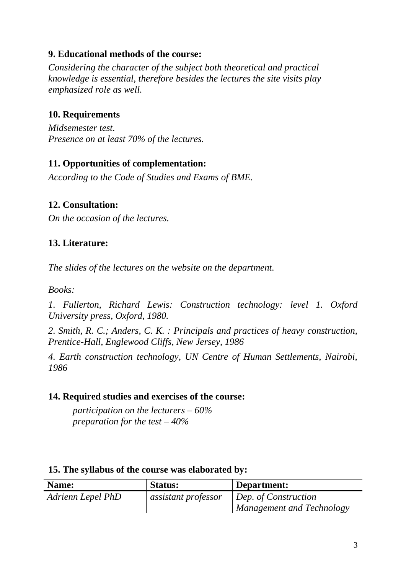# **9. Educational methods of the course:**

*Considering the character of the subject both theoretical and practical knowledge is essential, therefore besides the lectures the site visits play emphasized role as well.*

# **10. Requirements**

*Midsemester test. Presence on at least 70% of the lectures.*

# **11. Opportunities of complementation:**

*According to the Code of Studies and Exams of BME.*

## **12. Consultation:**

*On the occasion of the lectures.*

# **13. Literature:**

*The slides of the lectures on the website on the department.*

*Books:*

*1. Fullerton, Richard Lewis: Construction technology: level 1. Oxford University press, Oxford, 1980.*

*2. Smith, R. C.; Anders, C. K. : Principals and practices of heavy construction, Prentice-Hall, Englewood Cliffs, New Jersey, 1986*

*4. Earth construction technology, UN Centre of Human Settlements, Nairobi, 1986*

## **14. Required studies and exercises of the course:**

*participation on the lecturers – 60% preparation for the test – 40%*

| Name:             | <b>Status:</b>             | Department:                      |
|-------------------|----------------------------|----------------------------------|
| Adrienn Lepel PhD | <i>assistant professor</i> | Dep. of Construction             |
|                   |                            | <b>Management and Technology</b> |

#### **15. The syllabus of the course was elaborated by:**